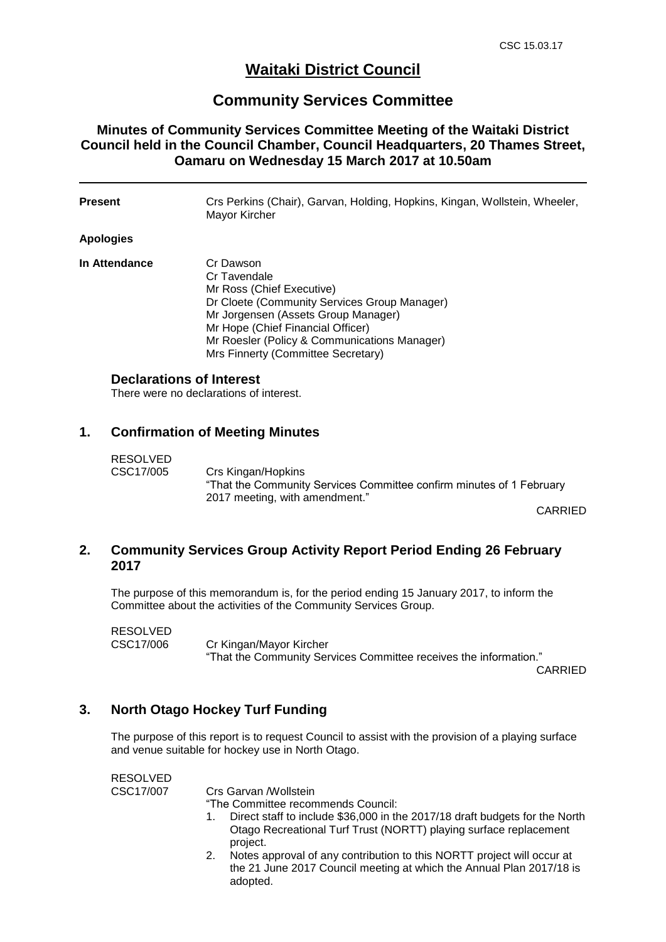# **Waitaki District Council**

## **Community Services Committee**

## **Minutes of Community Services Committee Meeting of the Waitaki District Council held in the Council Chamber, Council Headquarters, 20 Thames Street, Oamaru on Wednesday 15 March 2017 at 10.50am**

| Present                         | Crs Perkins (Chair), Garvan, Holding, Hopkins, Kingan, Wollstein, Wheeler,<br>Mayor Kircher                                                                                                                                                                              |
|---------------------------------|--------------------------------------------------------------------------------------------------------------------------------------------------------------------------------------------------------------------------------------------------------------------------|
| Apologies                       |                                                                                                                                                                                                                                                                          |
| In Attendance                   | Cr Dawson<br>Cr Tavendale<br>Mr Ross (Chief Executive)<br>Dr Cloete (Community Services Group Manager)<br>Mr Jorgensen (Assets Group Manager)<br>Mr Hope (Chief Financial Officer)<br>Mr Roesler (Policy & Communications Manager)<br>Mrs Finnerty (Committee Secretary) |
| <b>Declarations of Interest</b> | There were no declarations of interest.                                                                                                                                                                                                                                  |

### **1. Confirmation of Meeting Minutes**

| RESOLVED  |                                                                      |
|-----------|----------------------------------------------------------------------|
| CSC17/005 | Crs Kingan/Hopkins                                                   |
|           | "That the Community Services Committee confirm minutes of 1 February |
|           | 2017 meeting, with amendment."                                       |

CARRIED

### **2. Community Services Group Activity Report Period Ending 26 February 2017**

The purpose of this memorandum is, for the period ending 15 January 2017, to inform the Committee about the activities of the Community Services Group.

| <b>RESOLVED</b> |                                                                   |
|-----------------|-------------------------------------------------------------------|
| CSC17/006       | Cr Kingan/Mayor Kircher                                           |
|                 | "That the Community Services Committee receives the information." |

CARRIED

#### **3. North Otago Hockey Turf Funding**

The purpose of this report is to request Council to assist with the provision of a playing surface and venue suitable for hockey use in North Otago.

RESOLVED CSC17/007 Crs Garvan /Wollstein "The Committee recommends Council: 1. Direct staff to include \$36,000 in the 2017/18 draft budgets for the North

- Otago Recreational Turf Trust (NORTT) playing surface replacement project.
- 2. Notes approval of any contribution to this NORTT project will occur at the 21 June 2017 Council meeting at which the Annual Plan 2017/18 is adopted.